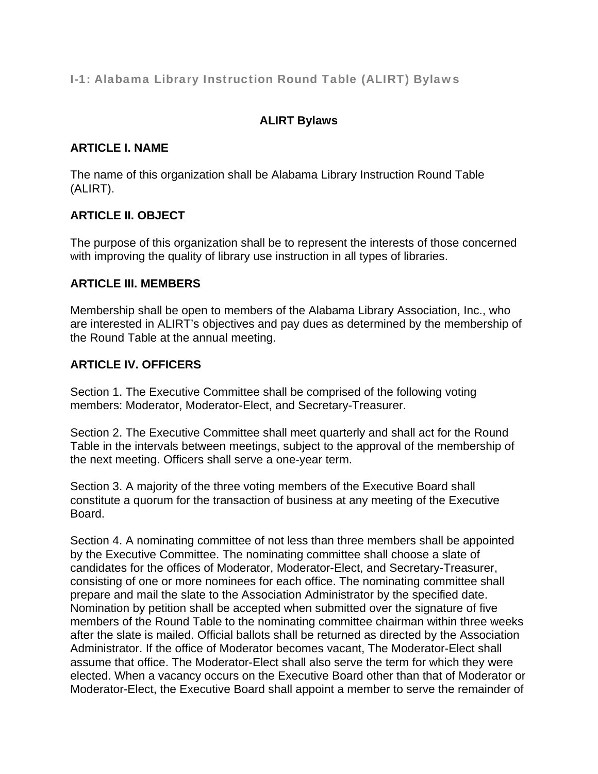## I-1: Alabama Library Instruction Round Table (ALIRT) Bylaws

# **ALIRT Bylaws**

#### **ARTICLE I. NAME**

The name of this organization shall be Alabama Library Instruction Round Table (ALIRT).

## **ARTICLE II. OBJECT**

The purpose of this organization shall be to represent the interests of those concerned with improving the quality of library use instruction in all types of libraries.

#### **ARTICLE III. MEMBERS**

Membership shall be open to members of the Alabama Library Association, Inc., who are interested in ALIRT's objectives and pay dues as determined by the membership of the Round Table at the annual meeting.

## **ARTICLE IV. OFFICERS**

Section 1. The Executive Committee shall be comprised of the following voting members: Moderator, Moderator-Elect, and Secretary-Treasurer.

Section 2. The Executive Committee shall meet quarterly and shall act for the Round Table in the intervals between meetings, subject to the approval of the membership of the next meeting. Officers shall serve a one-year term.

Section 3. A majority of the three voting members of the Executive Board shall constitute a quorum for the transaction of business at any meeting of the Executive Board.

Section 4. A nominating committee of not less than three members shall be appointed by the Executive Committee. The nominating committee shall choose a slate of candidates for the offices of Moderator, Moderator-Elect, and Secretary-Treasurer, consisting of one or more nominees for each office. The nominating committee shall prepare and mail the slate to the Association Administrator by the specified date. Nomination by petition shall be accepted when submitted over the signature of five members of the Round Table to the nominating committee chairman within three weeks after the slate is mailed. Official ballots shall be returned as directed by the Association Administrator. If the office of Moderator becomes vacant, The Moderator-Elect shall assume that office. The Moderator-Elect shall also serve the term for which they were elected. When a vacancy occurs on the Executive Board other than that of Moderator or Moderator-Elect, the Executive Board shall appoint a member to serve the remainder of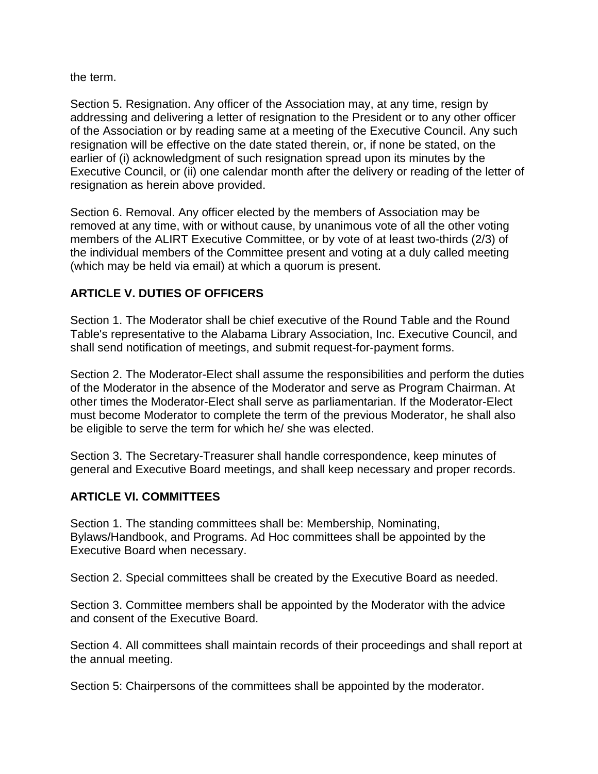the term.

Section 5. Resignation. Any officer of the Association may, at any time, resign by addressing and delivering a letter of resignation to the President or to any other officer of the Association or by reading same at a meeting of the Executive Council. Any such resignation will be effective on the date stated therein, or, if none be stated, on the earlier of (i) acknowledgment of such resignation spread upon its minutes by the Executive Council, or (ii) one calendar month after the delivery or reading of the letter of resignation as herein above provided.

Section 6. Removal. Any officer elected by the members of Association may be removed at any time, with or without cause, by unanimous vote of all the other voting members of the ALIRT Executive Committee, or by vote of at least two-thirds (2/3) of the individual members of the Committee present and voting at a duly called meeting (which may be held via email) at which a quorum is present.

## **ARTICLE V. DUTIES OF OFFICERS**

Section 1. The Moderator shall be chief executive of the Round Table and the Round Table's representative to the Alabama Library Association, Inc. Executive Council, and shall send notification of meetings, and submit request-for-payment forms.

Section 2. The Moderator-Elect shall assume the responsibilities and perform the duties of the Moderator in the absence of the Moderator and serve as Program Chairman. At other times the Moderator-Elect shall serve as parliamentarian. If the Moderator-Elect must become Moderator to complete the term of the previous Moderator, he shall also be eligible to serve the term for which he/ she was elected.

Section 3. The Secretary-Treasurer shall handle correspondence, keep minutes of general and Executive Board meetings, and shall keep necessary and proper records.

## **ARTICLE VI. COMMITTEES**

Section 1. The standing committees shall be: Membership, Nominating, Bylaws/Handbook, and Programs. Ad Hoc committees shall be appointed by the Executive Board when necessary.

Section 2. Special committees shall be created by the Executive Board as needed.

Section 3. Committee members shall be appointed by the Moderator with the advice and consent of the Executive Board.

Section 4. All committees shall maintain records of their proceedings and shall report at the annual meeting.

Section 5: Chairpersons of the committees shall be appointed by the moderator.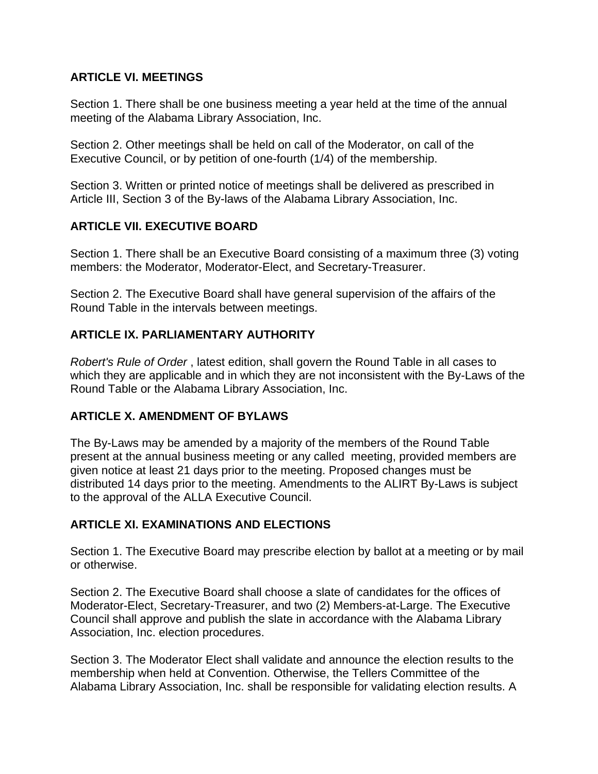## **ARTICLE VI. MEETINGS**

Section 1. There shall be one business meeting a year held at the time of the annual meeting of the Alabama Library Association, Inc.

Section 2. Other meetings shall be held on call of the Moderator, on call of the Executive Council, or by petition of one-fourth (1/4) of the membership.

Section 3. Written or printed notice of meetings shall be delivered as prescribed in Article III, Section 3 of the By-laws of the Alabama Library Association, Inc.

## **ARTICLE VII. EXECUTIVE BOARD**

Section 1. There shall be an Executive Board consisting of a maximum three (3) voting members: the Moderator, Moderator-Elect, and Secretary-Treasurer.

Section 2. The Executive Board shall have general supervision of the affairs of the Round Table in the intervals between meetings.

# **ARTICLE IX. PARLIAMENTARY AUTHORITY**

*Robert's Rule of Order* , latest edition, shall govern the Round Table in all cases to which they are applicable and in which they are not inconsistent with the By-Laws of the Round Table or the Alabama Library Association, Inc.

## **ARTICLE X. AMENDMENT OF BYLAWS**

The By-Laws may be amended by a majority of the members of the Round Table present at the annual business meeting or any called meeting, provided members are given notice at least 21 days prior to the meeting. Proposed changes must be distributed 14 days prior to the meeting. Amendments to the ALIRT By-Laws is subject to the approval of the ALLA Executive Council.

## **ARTICLE XI. EXAMINATIONS AND ELECTIONS**

Section 1. The Executive Board may prescribe election by ballot at a meeting or by mail or otherwise.

Section 2. The Executive Board shall choose a slate of candidates for the offices of Moderator-Elect, Secretary-Treasurer, and two (2) Members-at-Large. The Executive Council shall approve and publish the slate in accordance with the Alabama Library Association, Inc. election procedures.

Section 3. The Moderator Elect shall validate and announce the election results to the membership when held at Convention. Otherwise, the Tellers Committee of the Alabama Library Association, Inc. shall be responsible for validating election results. A